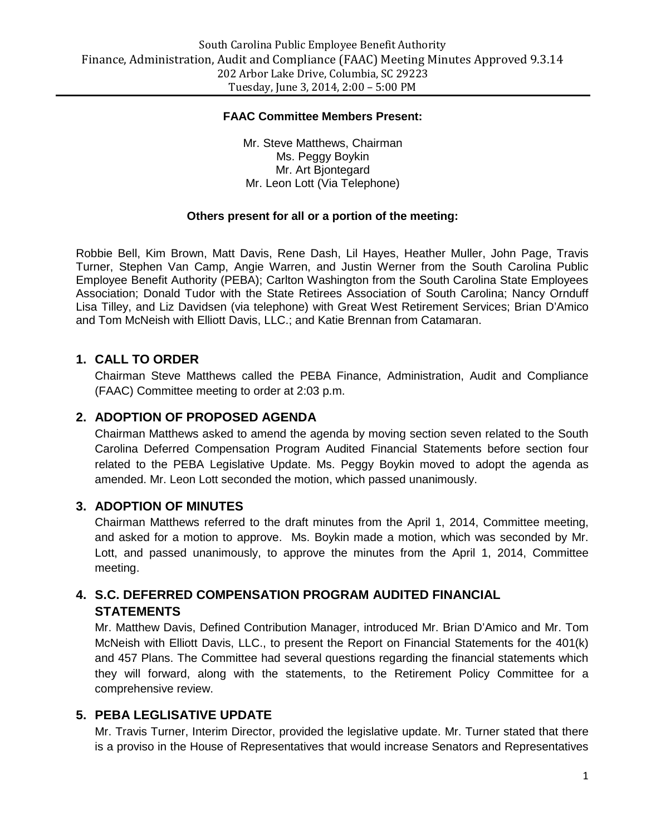#### **FAAC Committee Members Present:**

Mr. Steve Matthews, Chairman Ms. Peggy Boykin Mr. Art Bjontegard Mr. Leon Lott (Via Telephone)

#### **Others present for all or a portion of the meeting:**

Robbie Bell, Kim Brown, Matt Davis, Rene Dash, Lil Hayes, Heather Muller, John Page, Travis Turner, Stephen Van Camp, Angie Warren, and Justin Werner from the South Carolina Public Employee Benefit Authority (PEBA); Carlton Washington from the South Carolina State Employees Association; Donald Tudor with the State Retirees Association of South Carolina; Nancy Ornduff Lisa Tilley, and Liz Davidsen (via telephone) with Great West Retirement Services; Brian D'Amico and Tom McNeish with Elliott Davis, LLC.; and Katie Brennan from Catamaran.

### **1. CALL TO ORDER**

Chairman Steve Matthews called the PEBA Finance, Administration, Audit and Compliance (FAAC) Committee meeting to order at 2:03 p.m.

### **2. ADOPTION OF PROPOSED AGENDA**

Chairman Matthews asked to amend the agenda by moving section seven related to the South Carolina Deferred Compensation Program Audited Financial Statements before section four related to the PEBA Legislative Update. Ms. Peggy Boykin moved to adopt the agenda as amended. Mr. Leon Lott seconded the motion, which passed unanimously.

#### **3. ADOPTION OF MINUTES**

Chairman Matthews referred to the draft minutes from the April 1, 2014, Committee meeting, and asked for a motion to approve. Ms. Boykin made a motion, which was seconded by Mr. Lott, and passed unanimously, to approve the minutes from the April 1, 2014, Committee meeting.

### **4. S.C. DEFERRED COMPENSATION PROGRAM AUDITED FINANCIAL STATEMENTS**

Mr. Matthew Davis, Defined Contribution Manager, introduced Mr. Brian D'Amico and Mr. Tom McNeish with Elliott Davis, LLC., to present the Report on Financial Statements for the 401(k) and 457 Plans. The Committee had several questions regarding the financial statements which they will forward, along with the statements, to the Retirement Policy Committee for a comprehensive review.

#### **5. PEBA LEGLISATIVE UPDATE**

Mr. Travis Turner, Interim Director, provided the legislative update. Mr. Turner stated that there is a proviso in the House of Representatives that would increase Senators and Representatives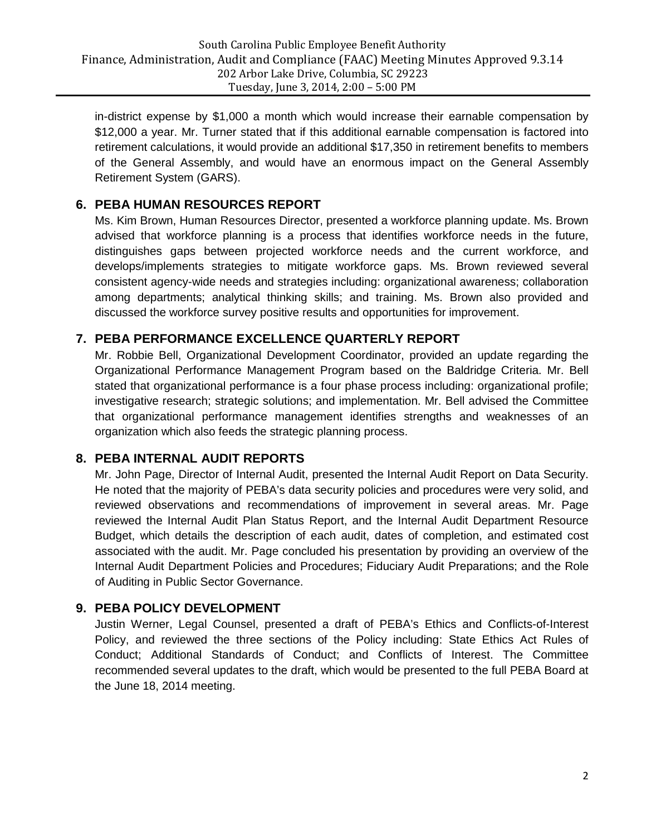in-district expense by \$1,000 a month which would increase their earnable compensation by \$12,000 a year. Mr. Turner stated that if this additional earnable compensation is factored into retirement calculations, it would provide an additional \$17,350 in retirement benefits to members of the General Assembly, and would have an enormous impact on the General Assembly Retirement System (GARS).

# **6. PEBA HUMAN RESOURCES REPORT**

Ms. Kim Brown, Human Resources Director, presented a workforce planning update. Ms. Brown advised that workforce planning is a process that identifies workforce needs in the future, distinguishes gaps between projected workforce needs and the current workforce, and develops/implements strategies to mitigate workforce gaps. Ms. Brown reviewed several consistent agency-wide needs and strategies including: organizational awareness; collaboration among departments; analytical thinking skills; and training. Ms. Brown also provided and discussed the workforce survey positive results and opportunities for improvement.

### **7. PEBA PERFORMANCE EXCELLENCE QUARTERLY REPORT**

Mr. Robbie Bell, Organizational Development Coordinator, provided an update regarding the Organizational Performance Management Program based on the Baldridge Criteria. Mr. Bell stated that organizational performance is a four phase process including: organizational profile; investigative research; strategic solutions; and implementation. Mr. Bell advised the Committee that organizational performance management identifies strengths and weaknesses of an organization which also feeds the strategic planning process.

### **8. PEBA INTERNAL AUDIT REPORTS**

Mr. John Page, Director of Internal Audit, presented the Internal Audit Report on Data Security. He noted that the majority of PEBA's data security policies and procedures were very solid, and reviewed observations and recommendations of improvement in several areas. Mr. Page reviewed the Internal Audit Plan Status Report, and the Internal Audit Department Resource Budget, which details the description of each audit, dates of completion, and estimated cost associated with the audit. Mr. Page concluded his presentation by providing an overview of the Internal Audit Department Policies and Procedures; Fiduciary Audit Preparations; and the Role of Auditing in Public Sector Governance.

### **9. PEBA POLICY DEVELOPMENT**

Justin Werner, Legal Counsel, presented a draft of PEBA's Ethics and Conflicts-of-Interest Policy, and reviewed the three sections of the Policy including: State Ethics Act Rules of Conduct; Additional Standards of Conduct; and Conflicts of Interest. The Committee recommended several updates to the draft, which would be presented to the full PEBA Board at the June 18, 2014 meeting.